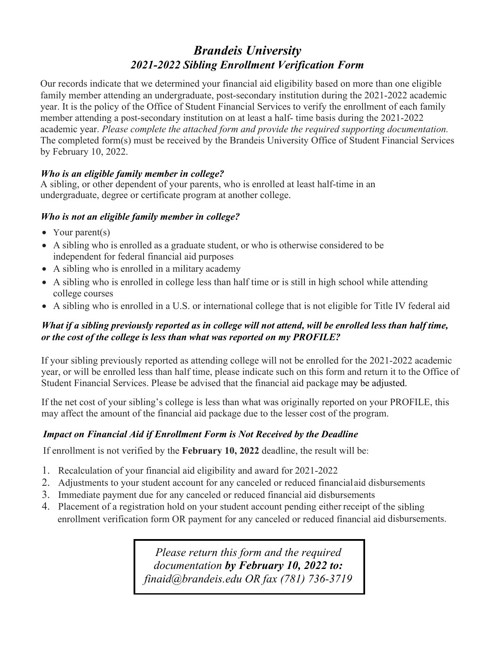# *Brandeis University 2021-2022 Sibling Enrollment Verification Form*

Our records indicate that we determined your financial aid eligibility based on more than one eligible family member attending an undergraduate, post-secondary institution during the 2021-2022 academic year. It is the policy of the Office of Student Financial Services to verify the enrollment of each family member attending a post-secondary institution on at least a half- time basis during the 2021-2022 academic year. *Please complete the attached form and provide the required supporting documentation.* The completed form(s) must be received by the Brandeis University Office of Student Financial Services by February 10, 2022.

# *Who is an eligible family member in college?*

A sibling, or other dependent of your parents, who is enrolled at least half-time in an undergraduate, degree or certificate program at another college.

# *Who is not an eligible family member in college?*

- Your parent(s)
- A sibling who is enrolled as a graduate student, or who is otherwise considered to be independent for federal financial aid purposes
- A sibling who is enrolled in a military academy
- A sibling who is enrolled in college less than half time or is still in high school while attending college courses
- A sibling who is enrolled in a U.S. or international college that is not eligible for Title IV federal aid

# *What if a sibling previously reported as in college will not attend, will be enrolled less than half time, or the cost of the college is less than what was reported on my PROFILE?*

If your sibling previously reported as attending college will not be enrolled for the 2021-2022 academic year, or will be enrolled less than half time, please indicate such on this form and return it to the Office of Student Financial Services. Please be advised that the financial aid package may be adjusted.

If the net cost of your sibling's college is less than what was originally reported on your PROFILE, this may affect the amount of the financial aid package due to the lesser cost of the program.

# *Impact on Financial Aid if Enrollment Form is Not Received by the Deadline*

If enrollment is not verified by the **February 10, 2022** deadline, the result will be:

- 1. Recalculation of your financial aid eligibility and award for 2021-2022
- 2. Adjustments to your student account for any canceled or reduced financialaid disbursements
- 3. Immediate payment due for any canceled or reduced financial aid disbursements
- 4. Placement of a registration hold on your student account pending either receipt of the sibling enrollment verification form OR payment for any canceled or reduced financial aid disbursements.

*Please return this form and the required documentation by February 10, 2022 to: finai[d@brandeis.edu](mailto:finaid@brandeis.edu) OR fax (781) 736-3719*